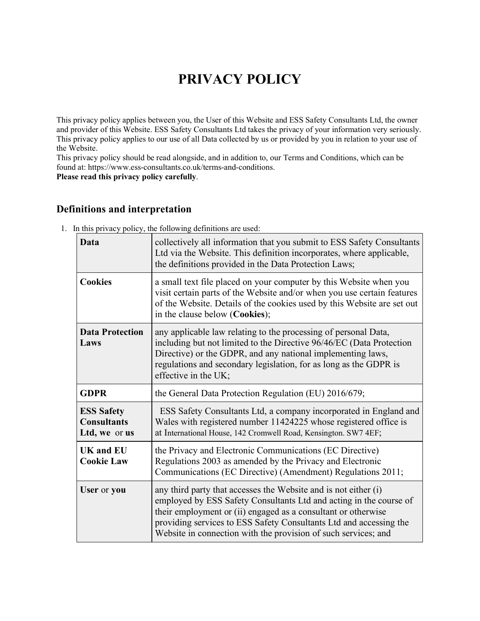# **PRIVACY POLICY**

This privacy policy applies between you, the User of this Website and ESS Safety Consultants Ltd, the owner and provider of this Website. ESS Safety Consultants Ltd takes the privacy of your information very seriously. This privacy policy applies to our use of all Data collected by us or provided by you in relation to your use of the Website.

This privacy policy should be read alongside, and in addition to, our Terms and Conditions, which can be found at: https://www.ess-consultants.co.uk/terms-and-conditions.

**Please read this privacy policy carefully**.

## **Definitions and interpretation**

| Data                                                     | collectively all information that you submit to ESS Safety Consultants<br>Ltd via the Website. This definition incorporates, where applicable,<br>the definitions provided in the Data Protection Laws;                                                                                                                                        |  |
|----------------------------------------------------------|------------------------------------------------------------------------------------------------------------------------------------------------------------------------------------------------------------------------------------------------------------------------------------------------------------------------------------------------|--|
| <b>Cookies</b>                                           | a small text file placed on your computer by this Website when you<br>visit certain parts of the Website and/or when you use certain features<br>of the Website. Details of the cookies used by this Website are set out<br>in the clause below (Cookies);                                                                                     |  |
| <b>Data Protection</b><br>Laws                           | any applicable law relating to the processing of personal Data,<br>including but not limited to the Directive 96/46/EC (Data Protection<br>Directive) or the GDPR, and any national implementing laws,<br>regulations and secondary legislation, for as long as the GDPR is<br>effective in the UK;                                            |  |
| <b>GDPR</b>                                              | the General Data Protection Regulation (EU) 2016/679;                                                                                                                                                                                                                                                                                          |  |
| <b>ESS Safety</b><br><b>Consultants</b><br>Ltd, we or us | ESS Safety Consultants Ltd, a company incorporated in England and<br>Wales with registered number 11424225 whose registered office is<br>at International House, 142 Cromwell Road, Kensington. SW7 4EF;                                                                                                                                       |  |
| <b>UK</b> and <b>EU</b><br><b>Cookie Law</b>             | the Privacy and Electronic Communications (EC Directive)<br>Regulations 2003 as amended by the Privacy and Electronic<br>Communications (EC Directive) (Amendment) Regulations 2011;                                                                                                                                                           |  |
| User or you                                              | any third party that accesses the Website and is not either (i)<br>employed by ESS Safety Consultants Ltd and acting in the course of<br>their employment or (ii) engaged as a consultant or otherwise<br>providing services to ESS Safety Consultants Ltd and accessing the<br>Website in connection with the provision of such services; and |  |

1. In this privacy policy, the following definitions are used: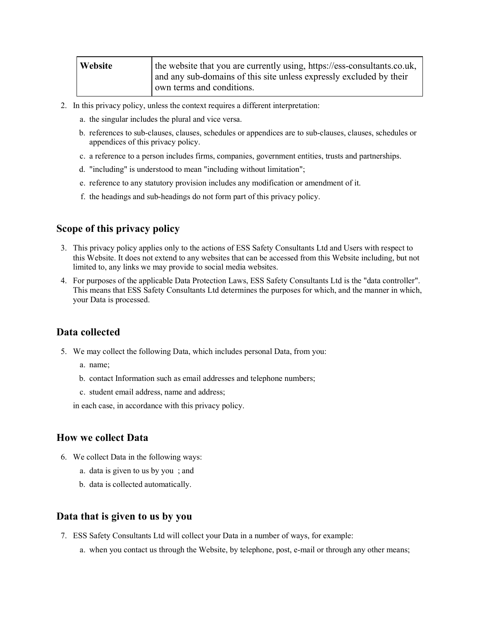| Website | the website that you are currently using, https://ess-consultants.co.uk, |
|---------|--------------------------------------------------------------------------|
|         | and any sub-domains of this site unless expressly excluded by their      |
|         | own terms and conditions.                                                |

- 2. In this privacy policy, unless the context requires a different interpretation:
	- a. the singular includes the plural and vice versa.
	- b. references to sub-clauses, clauses, schedules or appendices are to sub-clauses, clauses, schedules or appendices of this privacy policy.
	- c. a reference to a person includes firms, companies, government entities, trusts and partnerships.
	- d. "including" is understood to mean "including without limitation";
	- e. reference to any statutory provision includes any modification or amendment of it.
	- f. the headings and sub-headings do not form part of this privacy policy.

#### **Scope of this privacy policy**

- 3. This privacy policy applies only to the actions of ESS Safety Consultants Ltd and Users with respect to this Website. It does not extend to any websites that can be accessed from this Website including, but not limited to, any links we may provide to social media websites.
- 4. For purposes of the applicable Data Protection Laws, ESS Safety Consultants Ltd is the "data controller". This means that ESS Safety Consultants Ltd determines the purposes for which, and the manner in which, your Data is processed.

#### **Data collected**

- 5. We may collect the following Data, which includes personal Data, from you:
	- a. name;
	- b. contact Information such as email addresses and telephone numbers;
	- c. student email address, name and address;

in each case, in accordance with this privacy policy.

#### **How we collect Data**

- 6. We collect Data in the following ways:
	- a. data is given to us by you ; and
	- b. data is collected automatically.

#### **Data that is given to us by you**

- 7. ESS Safety Consultants Ltd will collect your Data in a number of ways, for example:
	- a. when you contact us through the Website, by telephone, post, e-mail or through any other means;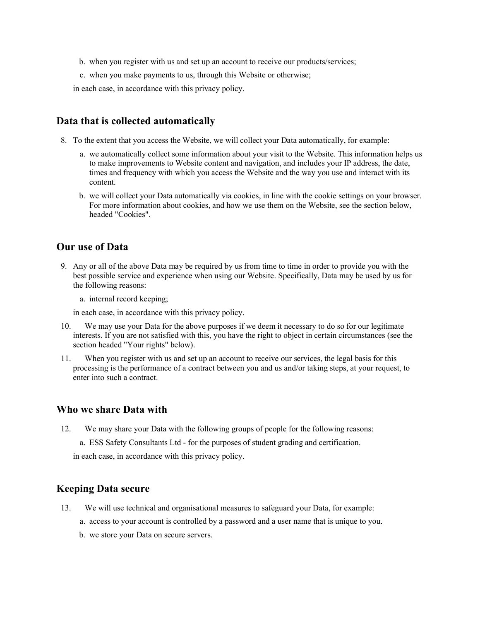- b. when you register with us and set up an account to receive our products/services;
- c. when you make payments to us, through this Website or otherwise;
- in each case, in accordance with this privacy policy.

#### **Data that is collected automatically**

- 8. To the extent that you access the Website, we will collect your Data automatically, for example:
	- a. we automatically collect some information about your visit to the Website. This information helps us to make improvements to Website content and navigation, and includes your IP address, the date, times and frequency with which you access the Website and the way you use and interact with its content.
	- b. we will collect your Data automatically via cookies, in line with the cookie settings on your browser. For more information about cookies, and how we use them on the Website, see the section below, headed "Cookies".

#### **Our use of Data**

9. Any or all of the above Data may be required by us from time to time in order to provide you with the best possible service and experience when using our Website. Specifically, Data may be used by us for the following reasons:

a. internal record keeping;

in each case, in accordance with this privacy policy.

- 10. We may use your Data for the above purposes if we deem it necessary to do so for our legitimate interests. If you are not satisfied with this, you have the right to object in certain circumstances (see the section headed "Your rights" below).
- 11. When you register with us and set up an account to receive our services, the legal basis for this processing is the performance of a contract between you and us and/or taking steps, at your request, to enter into such a contract.

#### **Who we share Data with**

12. We may share your Data with the following groups of people for the following reasons: a. ESS Safety Consultants Ltd - for the purposes of student grading and certification. in each case, in accordance with this privacy policy.

#### **Keeping Data secure**

- 13. We will use technical and organisational measures to safeguard your Data, for example:
	- a. access to your account is controlled by a password and a user name that is unique to you.
	- b. we store your Data on secure servers.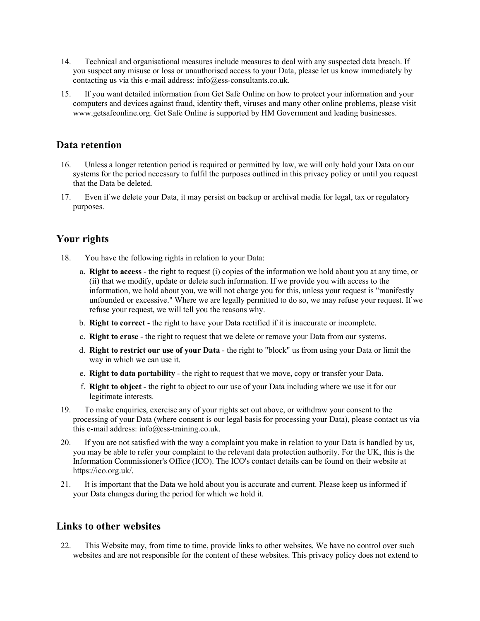- 14. Technical and organisational measures include measures to deal with any suspected data breach. If you suspect any misuse or loss or unauthorised access to your Data, please let us know immediately by contacting us via this e-mail address: info@ess-consultants.co.uk.
- 15. If you want detailed information from Get Safe Online on how to protect your information and your computers and devices against fraud, identity theft, viruses and many other online problems, please visit www.getsafeonline.org. Get Safe Online is supported by HM Government and leading businesses.

### **Data retention**

- 16. Unless a longer retention period is required or permitted by law, we will only hold your Data on our systems for the period necessary to fulfil the purposes outlined in this privacy policy or until you request that the Data be deleted.
- 17. Even if we delete your Data, it may persist on backup or archival media for legal, tax or regulatory purposes.

## **Your rights**

- 18. You have the following rights in relation to your Data:
	- a. **Right to access** the right to request (i) copies of the information we hold about you at any time, or (ii) that we modify, update or delete such information. If we provide you with access to the information, we hold about you, we will not charge you for this, unless your request is "manifestly unfounded or excessive." Where we are legally permitted to do so, we may refuse your request. If we refuse your request, we will tell you the reasons why.
	- b. **Right to correct** the right to have your Data rectified if it is inaccurate or incomplete.
	- c. **Right to erase** the right to request that we delete or remove your Data from our systems.
	- d. **Right to restrict our use of your Data** the right to "block" us from using your Data or limit the way in which we can use it.
	- e. **Right to data portability** the right to request that we move, copy or transfer your Data.
	- f. **Right to object** the right to object to our use of your Data including where we use it for our legitimate interests.
- 19. To make enquiries, exercise any of your rights set out above, or withdraw your consent to the processing of your Data (where consent is our legal basis for processing your Data), please contact us via this e-mail address: info@ess-training.co.uk.
- 20. If you are not satisfied with the way a complaint you make in relation to your Data is handled by us, you may be able to refer your complaint to the relevant data protection authority. For the UK, this is the Information Commissioner's Office (ICO). The ICO's contact details can be found on their website at https://ico.org.uk/.
- 21. It is important that the Data we hold about you is accurate and current. Please keep us informed if your Data changes during the period for which we hold it.

#### **Links to other websites**

22. This Website may, from time to time, provide links to other websites. We have no control over such websites and are not responsible for the content of these websites. This privacy policy does not extend to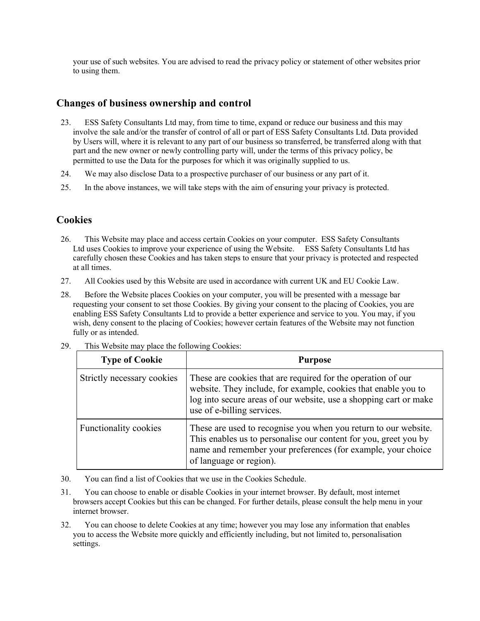your use of such websites. You are advised to read the privacy policy or statement of other websites prior to using them.

## **Changes of business ownership and control**

- 23. ESS Safety Consultants Ltd may, from time to time, expand or reduce our business and this may involve the sale and/or the transfer of control of all or part of ESS Safety Consultants Ltd. Data provided by Users will, where it is relevant to any part of our business so transferred, be transferred along with that part and the new owner or newly controlling party will, under the terms of this privacy policy, be permitted to use the Data for the purposes for which it was originally supplied to us.
- 24. We may also disclose Data to a prospective purchaser of our business or any part of it.
- 25. In the above instances, we will take steps with the aim of ensuring your privacy is protected.

## **Cookies**

- 26. This Website may place and access certain Cookies on your computer. ESS Safety Consultants Ltd uses Cookies to improve your experience of using the Website. ESS Safety Consultants Ltd has carefully chosen these Cookies and has taken steps to ensure that your privacy is protected and respected at all times.
- 27. All Cookies used by this Website are used in accordance with current UK and EU Cookie Law.
- 28. Before the Website places Cookies on your computer, you will be presented with a message bar requesting your consent to set those Cookies. By giving your consent to the placing of Cookies, you are enabling ESS Safety Consultants Ltd to provide a better experience and service to you. You may, if you wish, deny consent to the placing of Cookies; however certain features of the Website may not function fully or as intended.

| <b>Type of Cookie</b>      | <b>Purpose</b>                                                                                                                                                                                                                    |
|----------------------------|-----------------------------------------------------------------------------------------------------------------------------------------------------------------------------------------------------------------------------------|
| Strictly necessary cookies | These are cookies that are required for the operation of our<br>website. They include, for example, cookies that enable you to<br>log into secure areas of our website, use a shopping cart or make<br>use of e-billing services. |
| Functionality cookies      | These are used to recognise you when you return to our website.<br>This enables us to personalise our content for you, greet you by<br>name and remember your preferences (for example, your choice<br>of language or region).    |

29. This Website may place the following Cookies:

- 30. You can find a list of Cookies that we use in the Cookies Schedule.
- 31. You can choose to enable or disable Cookies in your internet browser. By default, most internet browsers accept Cookies but this can be changed. For further details, please consult the help menu in your internet browser.
- 32. You can choose to delete Cookies at any time; however you may lose any information that enables you to access the Website more quickly and efficiently including, but not limited to, personalisation settings.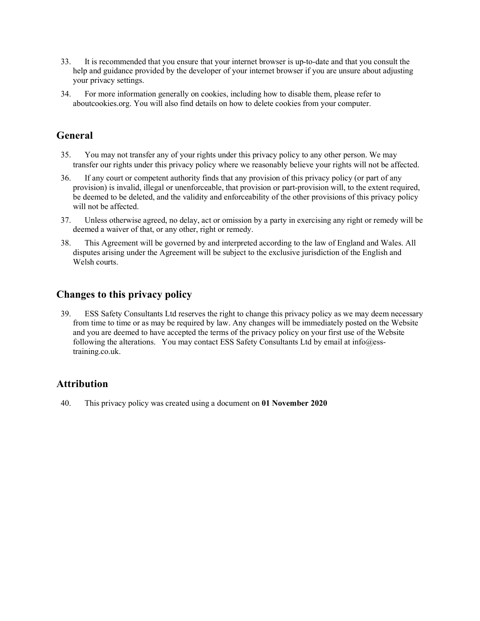- 33. It is recommended that you ensure that your internet browser is up-to-date and that you consult the help and guidance provided by the developer of your internet browser if you are unsure about adjusting your privacy settings.
- 34. For more information generally on cookies, including how to disable them, please refer to aboutcookies.org. You will also find details on how to delete cookies from your computer.

## **General**

- 35. You may not transfer any of your rights under this privacy policy to any other person. We may transfer our rights under this privacy policy where we reasonably believe your rights will not be affected.
- 36. If any court or competent authority finds that any provision of this privacy policy (or part of any provision) is invalid, illegal or unenforceable, that provision or part-provision will, to the extent required, be deemed to be deleted, and the validity and enforceability of the other provisions of this privacy policy will not be affected.
- 37. Unless otherwise agreed, no delay, act or omission by a party in exercising any right or remedy will be deemed a waiver of that, or any other, right or remedy.
- 38. This Agreement will be governed by and interpreted according to the law of England and Wales. All disputes arising under the Agreement will be subject to the exclusive jurisdiction of the English and Welsh courts.

## **Changes to this privacy policy**

39. ESS Safety Consultants Ltd reserves the right to change this privacy policy as we may deem necessary from time to time or as may be required by law. Any changes will be immediately posted on the Website and you are deemed to have accepted the terms of the privacy policy on your first use of the Website following the alterations. You may contact ESS Safety Consultants Ltd by email at info@esstraining.co.uk.

## **Attribution**

40. This privacy policy was created using a document on **01 November 2020**